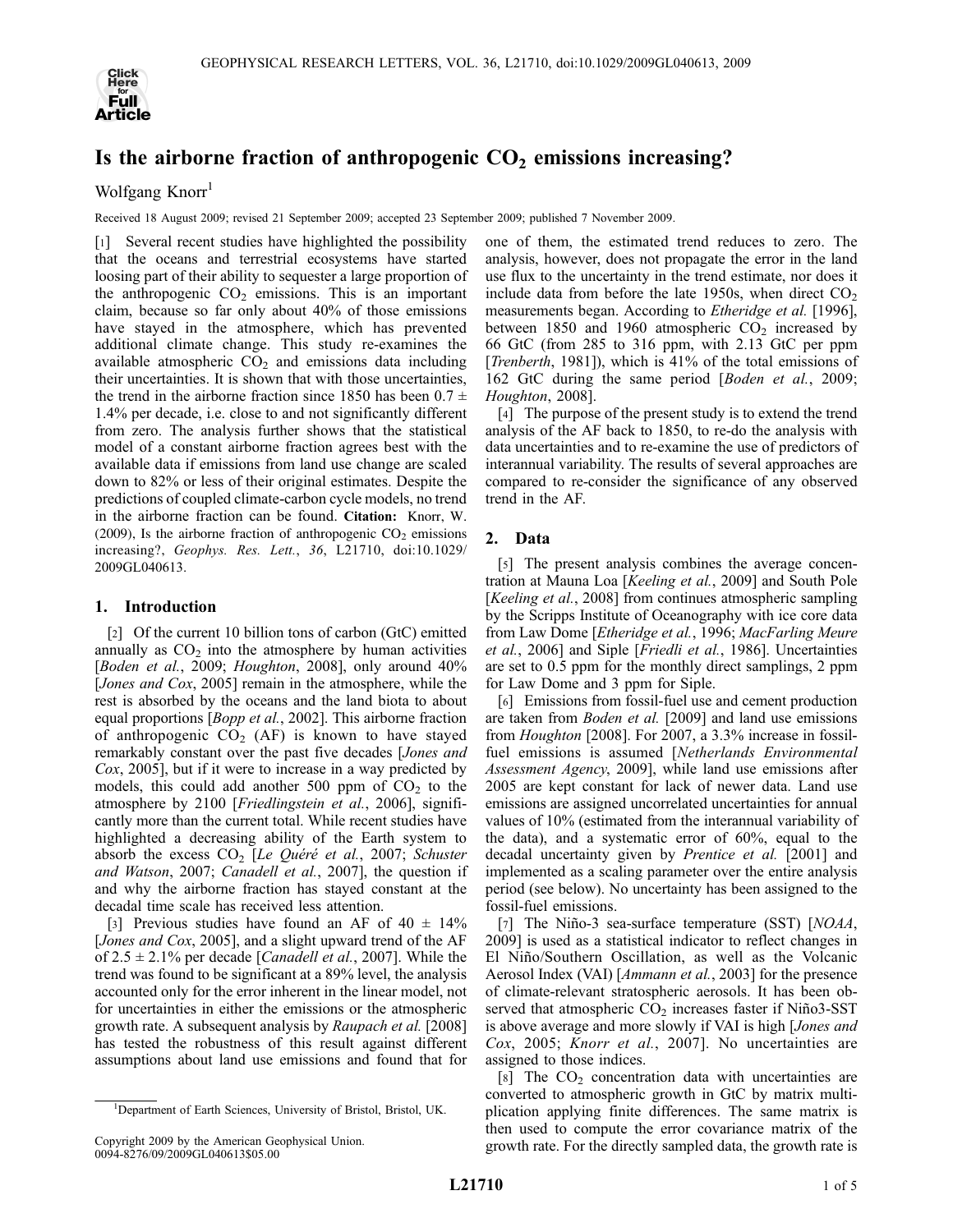

# Is the airborne fraction of anthropogenic  $CO<sub>2</sub>$  emissions increasing?

Wolfgang Knorr<sup>1</sup>

Received 18 August 2009; revised 21 September 2009; accepted 23 September 2009; published 7 November 2009.

[1] Several recent studies have highlighted the possibility that the oceans and terrestrial ecosystems have started loosing part of their ability to sequester a large proportion of the anthropogenic  $CO<sub>2</sub>$  emissions. This is an important claim, because so far only about 40% of those emissions have stayed in the atmosphere, which has prevented additional climate change. This study re-examines the available atmospheric  $CO<sub>2</sub>$  and emissions data including their uncertainties. It is shown that with those uncertainties, the trend in the airborne fraction since 1850 has been  $0.7 \pm$ 1.4% per decade, i.e. close to and not significantly different from zero. The analysis further shows that the statistical model of a constant airborne fraction agrees best with the available data if emissions from land use change are scaled down to 82% or less of their original estimates. Despite the predictions of coupled climate-carbon cycle models, no trend in the airborne fraction can be found. Citation: Knorr, W. (2009), Is the airborne fraction of anthropogenic  $CO<sub>2</sub>$  emissions increasing?, Geophys. Res. Lett., 36, L21710, doi:10.1029/ 2009GL040613.

## 1. Introduction

[2] Of the current 10 billion tons of carbon (GtC) emitted annually as  $CO<sub>2</sub>$  into the atmosphere by human activities [Boden et al., 2009; Houghton, 2008], only around 40% [Jones and Cox, 2005] remain in the atmosphere, while the rest is absorbed by the oceans and the land biota to about equal proportions [Bopp et al., 2002]. This airborne fraction of anthropogenic  $CO<sub>2</sub>$  (AF) is known to have stayed remarkably constant over the past five decades [Jones and Cox, 2005], but if it were to increase in a way predicted by models, this could add another 500 ppm of  $CO<sub>2</sub>$  to the atmosphere by 2100 [Friedlingstein et al., 2006], significantly more than the current total. While recent studies have highlighted a decreasing ability of the Earth system to absorb the excess  $CO<sub>2</sub>$  [Le Quéré et al., 2007; Schuster and Watson, 2007; Canadell et al., 2007], the question if and why the airborne fraction has stayed constant at the decadal time scale has received less attention.

[3] Previous studies have found an AF of  $40 \pm 14\%$ [Jones and Cox, 2005], and a slight upward trend of the AF of  $2.5 \pm 2.1\%$  per decade [*Canadell et al.*, 2007]. While the trend was found to be significant at a 89% level, the analysis accounted only for the error inherent in the linear model, not for uncertainties in either the emissions or the atmospheric growth rate. A subsequent analysis by Raupach et al. [2008] has tested the robustness of this result against different assumptions about land use emissions and found that for

one of them, the estimated trend reduces to zero. The analysis, however, does not propagate the error in the land use flux to the uncertainty in the trend estimate, nor does it include data from before the late 1950s, when direct  $CO<sub>2</sub>$ measurements began. According to *Etheridge et al.* [1996], between 1850 and 1960 atmospheric  $CO<sub>2</sub>$  increased by 66 GtC (from 285 to 316 ppm, with 2.13 GtC per ppm [*Trenberth*, 1981]), which is 41% of the total emissions of 162 GtC during the same period [Boden et al., 2009; Houghton, 2008].

[4] The purpose of the present study is to extend the trend analysis of the AF back to 1850, to re-do the analysis with data uncertainties and to re-examine the use of predictors of interannual variability. The results of several approaches are compared to re-consider the significance of any observed trend in the AF.

## 2. Data

[5] The present analysis combines the average concentration at Mauna Loa [Keeling et al., 2009] and South Pole [Keeling et al., 2008] from continues atmospheric sampling by the Scripps Institute of Oceanography with ice core data from Law Dome [Etheridge et al., 1996; MacFarling Meure et al., 2006] and Siple [Friedli et al., 1986]. Uncertainties are set to 0.5 ppm for the monthly direct samplings, 2 ppm for Law Dome and 3 ppm for Siple.

[6] Emissions from fossil-fuel use and cement production are taken from Boden et al. [2009] and land use emissions from Houghton [2008]. For 2007, a 3.3% increase in fossilfuel emissions is assumed [Netherlands Environmental Assessment Agency, 2009], while land use emissions after 2005 are kept constant for lack of newer data. Land use emissions are assigned uncorrelated uncertainties for annual values of 10% (estimated from the interannual variability of the data), and a systematic error of 60%, equal to the decadal uncertainty given by Prentice et al. [2001] and implemented as a scaling parameter over the entire analysis period (see below). No uncertainty has been assigned to the fossil-fuel emissions.

[7] The Niño-3 sea-surface temperature (SST)  $[NOAA,$ 2009] is used as a statistical indicator to reflect changes in El Niño/Southern Oscillation, as well as the Volcanic Aerosol Index (VAI) [Ammann et al., 2003] for the presence of climate-relevant stratospheric aerosols. It has been observed that atmospheric  $CO<sub>2</sub>$  increases faster if Niño3-SST is above average and more slowly if VAI is high [Jones and Cox, 2005; Knorr et al., 2007]. No uncertainties are assigned to those indices.

[8] The  $CO<sub>2</sub>$  concentration data with uncertainties are converted to atmospheric growth in GtC by matrix multiplication applying finite differences. The same matrix is then used to compute the error covariance matrix of the growth rate. For the directly sampled data, the growth rate is

<sup>&</sup>lt;sup>1</sup>Department of Earth Sciences, University of Bristol, Bristol, UK.

Copyright 2009 by the American Geophysical Union. 0094-8276/09/2009GL040613\$05.00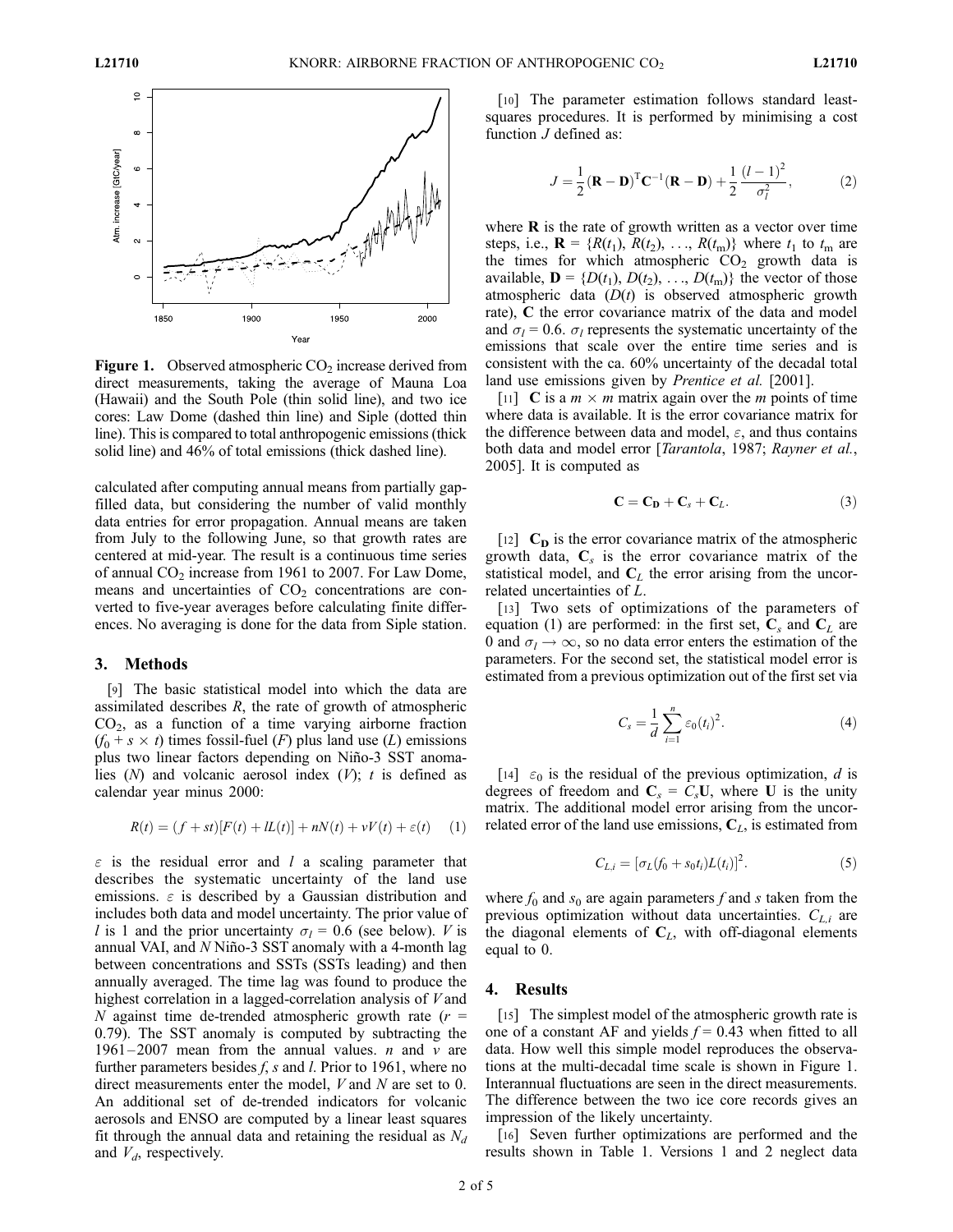

**Figure 1.** Observed atmospheric  $CO<sub>2</sub>$  increase derived from direct measurements, taking the average of Mauna Loa (Hawaii) and the South Pole (thin solid line), and two ice cores: Law Dome (dashed thin line) and Siple (dotted thin line). This is compared to total anthropogenic emissions (thick solid line) and 46% of total emissions (thick dashed line).

calculated after computing annual means from partially gapfilled data, but considering the number of valid monthly data entries for error propagation. Annual means are taken from July to the following June, so that growth rates are centered at mid-year. The result is a continuous time series of annual  $CO<sub>2</sub>$  increase from 1961 to 2007. For Law Dome, means and uncertainties of  $CO<sub>2</sub>$  concentrations are converted to five-year averages before calculating finite differences. No averaging is done for the data from Siple station.

#### 3. Methods

[9] The basic statistical model into which the data are assimilated describes  $R$ , the rate of growth of atmospheric  $CO<sub>2</sub>$ , as a function of a time varying airborne fraction  $(f_0 + s \times t)$  times fossil-fuel (*F*) plus land use (*L*) emissions plus two linear factors depending on Niño-3 SST anomalies  $(N)$  and volcanic aerosol index  $(V)$ ; t is defined as calendar year minus 2000:

$$
R(t) = (f + st)[F(t) + lL(t)] + nN(t) + vV(t) + \varepsilon(t) \quad (1)
$$

 $\varepsilon$  is the residual error and l a scaling parameter that describes the systematic uncertainty of the land use emissions.  $\varepsilon$  is described by a Gaussian distribution and includes both data and model uncertainty. The prior value of l is 1 and the prior uncertainty  $\sigma_l = 0.6$  (see below). V is annual VAI, and  $N$  Niño-3 SST anomaly with a 4-month lag between concentrations and SSTs (SSTs leading) and then annually averaged. The time lag was found to produce the highest correlation in a lagged-correlation analysis of V and N against time de-trended atmospheric growth rate  $(r =$ 0.79). The SST anomaly is computed by subtracting the 1961 – 2007 mean from the annual values. *n* and *v* are further parameters besides  $f$ ,  $s$  and  $l$ . Prior to 1961, where no direct measurements enter the model, V and N are set to 0. An additional set of de-trended indicators for volcanic aerosols and ENSO are computed by a linear least squares fit through the annual data and retaining the residual as  $N_d$ and  $V_d$ , respectively.

[10] The parameter estimation follows standard leastsquares procedures. It is performed by minimising a cost function  $J$  defined as:

$$
J = \frac{1}{2} (\mathbf{R} - \mathbf{D})^{\mathrm{T}} \mathbf{C}^{-1} (\mathbf{R} - \mathbf{D}) + \frac{1}{2} \frac{(l-1)^2}{\sigma_l^2},
$$
 (2)

where  **is the rate of growth written as a vector over time** steps, i.e.,  $\mathbf{R} = \{R(t_1), R(t_2), ..., R(t_m)\}\)$  where  $t_1$  to  $t_m$  are the times for which atmospheric  $CO<sub>2</sub>$  growth data is available,  $\mathbf{D} = \{D(t_1), D(t_2), \ldots, D(t_m)\}\$ the vector of those atmospheric data  $(D(t)$  is observed atmospheric growth rate), C the error covariance matrix of the data and model and  $\sigma_l = 0.6$ .  $\sigma_l$  represents the systematic uncertainty of the emissions that scale over the entire time series and is consistent with the ca. 60% uncertainty of the decadal total land use emissions given by *Prentice et al.* [2001].

[11] **C** is a  $m \times m$  matrix again over the *m* points of time where data is available. It is the error covariance matrix for the difference between data and model,  $\varepsilon$ , and thus contains both data and model error [*Tarantola*, 1987; Rayner et al., 2005]. It is computed as

$$
\mathbf{C} = \mathbf{C_D} + \mathbf{C_s} + \mathbf{C_L}.\tag{3}
$$

[12]  $C<sub>D</sub>$  is the error covariance matrix of the atmospheric growth data,  $C_s$  is the error covariance matrix of the statistical model, and  $C_L$  the error arising from the uncorrelated uncertainties of L.

[13] Two sets of optimizations of the parameters of equation (1) are performed: in the first set,  $C_s$  and  $C_L$  are 0 and  $\sigma_l \rightarrow \infty$ , so no data error enters the estimation of the parameters. For the second set, the statistical model error is estimated from a previous optimization out of the first set via

$$
C_s = \frac{1}{d} \sum_{i=1}^{n} \varepsilon_0(t_i)^2.
$$
 (4)

[14]  $\varepsilon_0$  is the residual of the previous optimization, d is degrees of freedom and  $C_s = C_s U$ , where U is the unity matrix. The additional model error arising from the uncorrelated error of the land use emissions,  $C_L$ , is estimated from

$$
C_{L,i} = [\sigma_L(f_0 + s_0t_i)L(t_i)]^2.
$$
 (5)

where  $f_0$  and  $s_0$  are again parameters f and s taken from the previous optimization without data uncertainties.  $C_{L,i}$  are the diagonal elements of  $C_L$ , with off-diagonal elements equal to 0.

#### 4. Results

[15] The simplest model of the atmospheric growth rate is one of a constant AF and yields  $f = 0.43$  when fitted to all data. How well this simple model reproduces the observations at the multi-decadal time scale is shown in Figure 1. Interannual fluctuations are seen in the direct measurements. The difference between the two ice core records gives an impression of the likely uncertainty.

[16] Seven further optimizations are performed and the results shown in Table 1. Versions 1 and 2 neglect data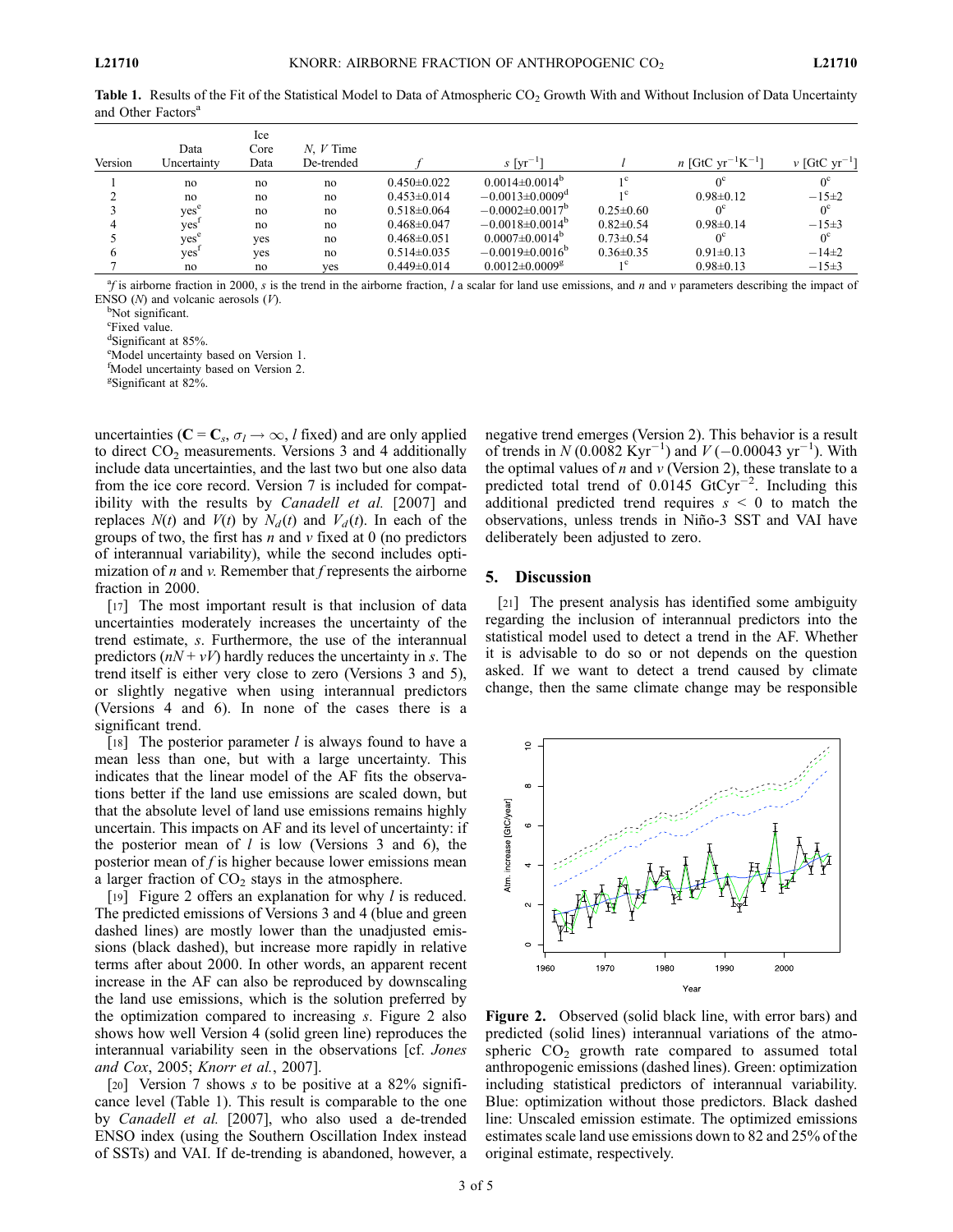|         |                  | Ice  |             |                   |                                 |                 |                                                  |                               |
|---------|------------------|------|-------------|-------------------|---------------------------------|-----------------|--------------------------------------------------|-------------------------------|
|         | Data             | Core | $N. V$ Time |                   |                                 |                 |                                                  |                               |
| Version | Uncertainty      | Data | De-trended  |                   | $s$ [yr <sup>-1</sup> ]         |                 | <i>n</i> [GtC yr <sup>-1</sup> K <sup>-1</sup> ] | $\nu$ [GtC vr <sup>-1</sup> ] |
|         | no               | no   | no          | $0.450 \pm 0.022$ | $0.0014\pm0.0014^b$             | 1 <sup>c</sup>  | $\alpha$ <sup>c</sup>                            | $0^{\circ}$                   |
|         | no               | no   | no          | $0.453 \pm 0.014$ | $-0.0013\pm0.0009^{\mathrm{d}}$ | 1 <sup>c</sup>  | $0.98 \pm 0.12$                                  | $-15+2$                       |
|         | ves <sup>e</sup> | no   | no          | $0.518 \pm 0.064$ | $-0.0002\pm0.0017^{\rm b}$      | $0.25 \pm 0.60$ |                                                  | $0^{\circ}$                   |
|         | yes              | no   | no          | $0.468 \pm 0.047$ | $-0.0018\pm0.0014^{\circ}$      | $0.82\pm0.54$   | $0.98 \pm 0.14$                                  | $-15\pm3$                     |
|         | yes <sup>'</sup> | yes  | no          | $0.468 \pm 0.051$ | $0.0007 \pm 0.0014^{\circ}$     | $0.73 \pm 0.54$ |                                                  | $0^{\circ}$                   |
|         | yes              | yes  | no          | $0.514\pm0.035$   | $-0.0019\pm0.0016^{\circ}$      | $0.36 \pm 0.35$ | $0.91 \pm 0.13$                                  | $-14\pm 2$                    |
|         | no               | no   | ves         | $0.449 \pm 0.014$ | $0.0012\pm0.0009$ <sup>g</sup>  |                 | $0.98 \pm 0.13$                                  | $-15+3$                       |

**Table 1.** Results of the Fit of the Statistical Model to Data of Atmospheric  $CO<sub>2</sub>$  Growth With and Without Inclusion of Data Uncertainty and Other Factors<sup>a</sup>

 ${}^{\alpha}f$  is airborne fraction in 2000, s is the trend in the airborne fraction, l a scalar for land use emissions, and n and v parameters describing the impact of ENSO  $(N)$  and volcanic aerosols  $(V)$ .

<sup>b</sup>Not significant.

<sup>c</sup>Fixed value.

d Significant at 85%.

e Model uncertainty based on Version 1.

f Model uncertainty based on Version 2.

g Significant at 82%.

uncertainties ( $C = C_s$ ,  $\sigma_l \rightarrow \infty$ , *l* fixed) and are only applied to direct  $CO<sub>2</sub>$  measurements. Versions 3 and 4 additionally include data uncertainties, and the last two but one also data from the ice core record. Version 7 is included for compatibility with the results by *Canadell et al.* [2007] and replaces  $N(t)$  and  $V(t)$  by  $N_d(t)$  and  $V_d(t)$ . In each of the groups of two, the first has  $n$  and  $\nu$  fixed at 0 (no predictors of interannual variability), while the second includes optimization of  $n$  and  $\nu$ . Remember that  $f$  represents the airborne fraction in 2000.

[17] The most important result is that inclusion of data uncertainties moderately increases the uncertainty of the trend estimate, s. Furthermore, the use of the interannual predictors  $(nN + vV)$  hardly reduces the uncertainty in s. The trend itself is either very close to zero (Versions 3 and 5), or slightly negative when using interannual predictors (Versions 4 and 6). In none of the cases there is a significant trend.

[18] The posterior parameter  $l$  is always found to have a mean less than one, but with a large uncertainty. This indicates that the linear model of the AF fits the observations better if the land use emissions are scaled down, but that the absolute level of land use emissions remains highly uncertain. This impacts on AF and its level of uncertainty: if the posterior mean of  $l$  is low (Versions 3 and 6), the posterior mean of  $f$  is higher because lower emissions mean a larger fraction of  $CO<sub>2</sub>$  stays in the atmosphere.

[19] Figure 2 offers an explanation for why *l* is reduced. The predicted emissions of Versions 3 and 4 (blue and green dashed lines) are mostly lower than the unadjusted emissions (black dashed), but increase more rapidly in relative terms after about 2000. In other words, an apparent recent increase in the AF can also be reproduced by downscaling the land use emissions, which is the solution preferred by the optimization compared to increasing s. Figure 2 also shows how well Version 4 (solid green line) reproduces the interannual variability seen in the observations [cf. Jones and Cox, 2005; Knorr et al., 2007].

[20] Version 7 shows s to be positive at a 82% significance level (Table 1). This result is comparable to the one by Canadell et al. [2007], who also used a de-trended ENSO index (using the Southern Oscillation Index instead of SSTs) and VAI. If de-trending is abandoned, however, a negative trend emerges (Version 2). This behavior is a result of trends in  $N(0.0082 \text{ Kyr}^{-1})$  and  $V(-0.00043 \text{ yr}^{-1})$ . With the optimal values of  $n$  and  $\nu$  (Version 2), these translate to a predicted total trend of  $0.0145 \text{ GtCyr}^{-2}$ . Including this additional predicted trend requires  $s < 0$  to match the observations, unless trends in Niño-3 SST and VAI have deliberately been adjusted to zero.

#### 5. Discussion

[21] The present analysis has identified some ambiguity regarding the inclusion of interannual predictors into the statistical model used to detect a trend in the AF. Whether it is advisable to do so or not depends on the question asked. If we want to detect a trend caused by climate change, then the same climate change may be responsible



Figure 2. Observed (solid black line, with error bars) and predicted (solid lines) interannual variations of the atmospheric  $CO<sub>2</sub>$  growth rate compared to assumed total anthropogenic emissions (dashed lines). Green: optimization including statistical predictors of interannual variability. Blue: optimization without those predictors. Black dashed line: Unscaled emission estimate. The optimized emissions estimates scale land use emissions down to 82 and 25% of the original estimate, respectively.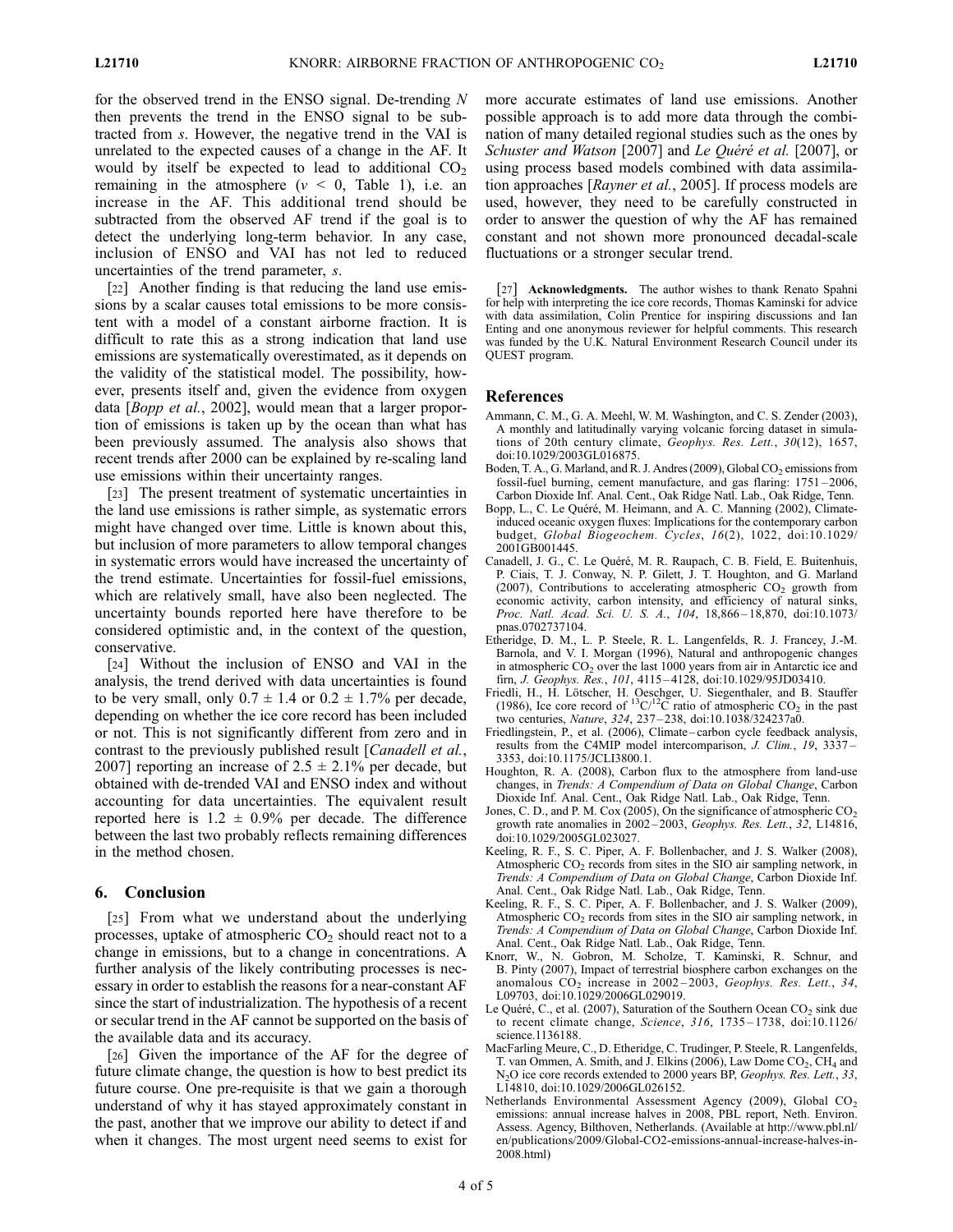for the observed trend in the ENSO signal. De-trending  $N$ then prevents the trend in the ENSO signal to be subtracted from s. However, the negative trend in the VAI is unrelated to the expected causes of a change in the AF. It would by itself be expected to lead to additional  $CO<sub>2</sub>$ remaining in the atmosphere ( $v < 0$ , Table 1), i.e. an increase in the AF. This additional trend should be subtracted from the observed AF trend if the goal is to detect the underlying long-term behavior. In any case, inclusion of ENSO and VAI has not led to reduced uncertainties of the trend parameter, s.

[22] Another finding is that reducing the land use emissions by a scalar causes total emissions to be more consistent with a model of a constant airborne fraction. It is difficult to rate this as a strong indication that land use emissions are systematically overestimated, as it depends on the validity of the statistical model. The possibility, however, presents itself and, given the evidence from oxygen data [Bopp et al., 2002], would mean that a larger proportion of emissions is taken up by the ocean than what has been previously assumed. The analysis also shows that recent trends after 2000 can be explained by re-scaling land use emissions within their uncertainty ranges.

[23] The present treatment of systematic uncertainties in the land use emissions is rather simple, as systematic errors might have changed over time. Little is known about this, but inclusion of more parameters to allow temporal changes in systematic errors would have increased the uncertainty of the trend estimate. Uncertainties for fossil-fuel emissions, which are relatively small, have also been neglected. The uncertainty bounds reported here have therefore to be considered optimistic and, in the context of the question, conservative.

[24] Without the inclusion of ENSO and VAI in the analysis, the trend derived with data uncertainties is found to be very small, only  $0.7 \pm 1.4$  or  $0.2 \pm 1.7\%$  per decade, depending on whether the ice core record has been included or not. This is not significantly different from zero and in contrast to the previously published result [*Canadell et al.*, 2007] reporting an increase of  $2.5 \pm 2.1\%$  per decade, but obtained with de-trended VAI and ENSO index and without accounting for data uncertainties. The equivalent result reported here is  $1.2 \pm 0.9\%$  per decade. The difference between the last two probably reflects remaining differences in the method chosen.

### 6. Conclusion

[25] From what we understand about the underlying processes, uptake of atmospheric  $CO<sub>2</sub>$  should react not to a change in emissions, but to a change in concentrations. A further analysis of the likely contributing processes is necessary in order to establish the reasons for a near-constant AF since the start of industrialization. The hypothesis of a recent or secular trend in the AF cannot be supported on the basis of the available data and its accuracy.

[26] Given the importance of the AF for the degree of future climate change, the question is how to best predict its future course. One pre-requisite is that we gain a thorough understand of why it has stayed approximately constant in the past, another that we improve our ability to detect if and when it changes. The most urgent need seems to exist for

more accurate estimates of land use emissions. Another possible approach is to add more data through the combination of many detailed regional studies such as the ones by Schuster and Watson [2007] and Le Quéré et al. [2007], or using process based models combined with data assimilation approaches [Rayner et al., 2005]. If process models are used, however, they need to be carefully constructed in order to answer the question of why the AF has remained constant and not shown more pronounced decadal-scale fluctuations or a stronger secular trend.

[27] **Acknowledgments.** The author wishes to thank Renato Spahni for help with interpreting the ice core records, Thomas Kaminski for advice with data assimilation, Colin Prentice for inspiring discussions and Ian Enting and one anonymous reviewer for helpful comments. This research was funded by the U.K. Natural Environment Research Council under its QUEST program.

#### References

- Ammann, C. M., G. A. Meehl, W. M. Washington, and C. S. Zender (2003), A monthly and latitudinally varying volcanic forcing dataset in simulations of 20th century climate, Geophys. Res. Lett., 30(12), 1657, doi:10.1029/2003GL016875.
- Boden, T. A., G. Marland, and R. J. Andres (2009), Global  $CO<sub>2</sub>$  emissions from fossil-fuel burning, cement manufacture, and gas flaring: 1751 – 2006, Carbon Dioxide Inf. Anal. Cent., Oak Ridge Natl. Lab., Oak Ridge, Tenn.
- Bopp, L., C. Le Quéré, M. Heimann, and A. C. Manning (2002), Climateinduced oceanic oxygen fluxes: Implications for the contemporary carbon budget, Global Biogeochem. Cycles, 16(2), 1022, doi:10.1029/ 2001GB001445.
- Canadell, J. G., C. Le Quéré, M. R. Raupach, C. B. Field, E. Buitenhuis, P. Ciais, T. J. Conway, N. P. Gilett, J. T. Houghton, and G. Marland (2007), Contributions to accelerating atmospheric  $CO<sub>2</sub>$  growth from economic activity, carbon intensity, and efficiency of natural sinks, Proc. Natl. Acad. Sci. U. S. A., 104, 18,866-18,870, doi:10.1073/ pnas.0702737104.
- Etheridge, D. M., L. P. Steele, R. L. Langenfelds, R. J. Francey, J.-M. Barnola, and V. I. Morgan (1996), Natural and anthropogenic changes in atmospheric CO<sub>2</sub> over the last 1000 years from air in Antarctic ice and firn, J. Geophys. Res., 101, 4115 – 4128, doi:10.1029/95JD03410.
- Friedli, H., H. Lötscher, H. Oeschger, U. Siegenthaler, and B. Stauffer (1986), Ice core record of  ${}^{13}C/{}^{12}C$  ratio of atmospheric CO<sub>2</sub> in the past two centuries, *Nature*, 324, 237–238, doi:10.1038/324237a0.
- Friedlingstein, P., et al. (2006), Climate carbon cycle feedback analysis, results from the C4MIP model intercomparison, J. Clim., 19, 3337-3353, doi:10.1175/JCLI3800.1.
- Houghton, R. A. (2008), Carbon flux to the atmosphere from land-use changes, in Trends: A Compendium of Data on Global Change, Carbon Dioxide Inf. Anal. Cent., Oak Ridge Natl. Lab., Oak Ridge, Tenn.
- Jones, C. D., and P. M. Cox (2005), On the significance of atmospheric  $CO<sub>2</sub>$ growth rate anomalies in  $2002-2003$ , Geophys. Res. Lett.,  $32$ , L14816, doi:10.1029/2005GL023027.
- Keeling, R. F., S. C. Piper, A. F. Bollenbacher, and J. S. Walker (2008), Atmospheric  $CO<sub>2</sub>$  records from sites in the SIO air sampling network, in Trends: A Compendium of Data on Global Change, Carbon Dioxide Inf. Anal. Cent., Oak Ridge Natl. Lab., Oak Ridge, Tenn.
- Keeling, R. F., S. C. Piper, A. F. Bollenbacher, and J. S. Walker (2009), Atmospheric CO<sub>2</sub> records from sites in the SIO air sampling network, in Trends: A Compendium of Data on Global Change, Carbon Dioxide Inf. Anal. Cent., Oak Ridge Natl. Lab., Oak Ridge, Tenn.
- Knorr, W., N. Gobron, M. Scholze, T. Kaminski, R. Schnur, and B. Pinty (2007), Impact of terrestrial biosphere carbon exchanges on the anomalous  $CO<sub>2</sub>$  increase in 2002-2003, Geophys. Res. Lett., 34, L09703, doi:10.1029/2006GL029019.
- Le Quéré, C., et al. (2007), Saturation of the Southern Ocean  $CO<sub>2</sub>$  sink due to recent climate change, Science, 316, 1735 – 1738, doi:10.1126/ science.1136188.
- MacFarling Meure, C., D. Etheridge, C. Trudinger, P. Steele, R. Langenfelds, T. van Ommen, A. Smith, and J. Elkins (2006), Law Dome  $CO<sub>2</sub>$ , CH<sub>4</sub> and N2O ice core records extended to 2000 years BP, Geophys. Res. Lett., 33, L14810, doi:10.1029/2006GL026152.
- Netherlands Environmental Assessment Agency (2009), Global CO<sub>2</sub> emissions: annual increase halves in 2008, PBL report, Neth. Environ. Assess. Agency, Bilthoven, Netherlands. (Available at http://www.pbl.nl/ en/publications/2009/Global-CO2-emissions-annual-increase-halves-in-2008.html)